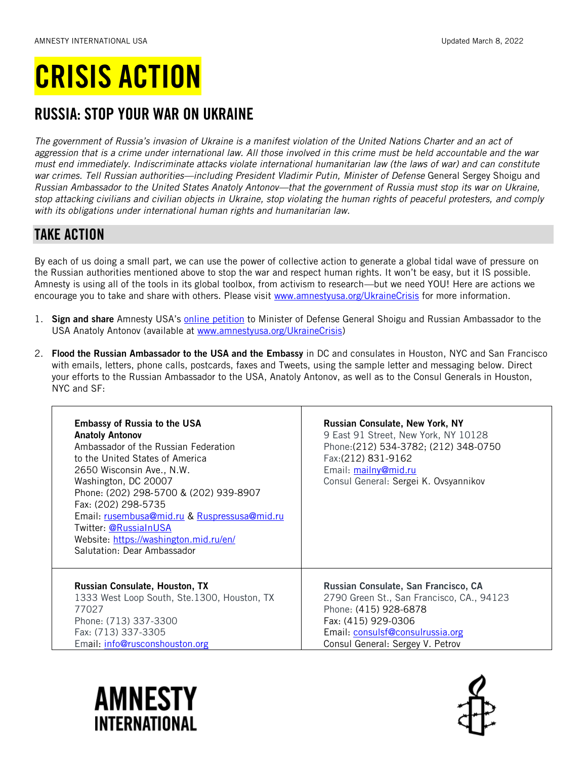# CRISIS ACTION

## RUSSIA: STOP YOUR WAR ON UKRAINE

*The government of Russia's invasion of Ukraine is a manifest violation of the United Nations Charter and an act of aggression that is a crime under international law. All those involved in this crime must be held accountable and the war must end immediately. Indiscriminate attacks violate international humanitarian law (the laws of war) and can constitute war crimes. Tell Russian authorities—including President Vladimir Putin, Minister of Defense* General Sergey Shoigu and *Russian Ambassador to the United States Anatoly Antonov—that the government of Russia must stop its war on Ukraine, stop attacking civilians and civilian objects in Ukraine, stop violating the human rights of peaceful protesters, and comply with its obligations under international human rights and humanitarian law.*

### TAKE ACTION

By each of us doing a small part, we can use the power of collective action to generate a global tidal wave of pressure on the Russian authorities mentioned above to stop the war and respect human rights. It won't be easy, but it IS possible. Amnesty is using all of the tools in its global toolbox, from activism to research—but we need YOU! Here are actions we encourage you to take and share with others. Please visit [www.amnestyusa.org/UkraineCrisis](http://www.amnestyusa.org/UkraineCrisis) for more information.

- 1. Sign and share Amnesty USA's [online petition](https://act.amnestyusa.org/page/100395/action/1?supporter.appealCode=W2202EAEUR1X) to Minister of Defense General Shoigu and Russian Ambassador to the USA Anatoly Antonov (available at [www.amnestyusa.org/UkraineCrisis\)](http://www.amnestyusa.org/UkraineCrisis)
- 2. Flood the Russian Ambassador to the USA and the Embassy in DC and consulates in Houston, NYC and San Francisco with emails, letters, phone calls, postcards, faxes and Tweets, using the sample letter and messaging below. Direct your efforts to the Russian Ambassador to the USA, Anatoly Antonov, as well as to the Consul Generals in Houston, NYC and SF:

| <b>Embassy of Russia to the USA</b><br><b>Anatoly Antonov</b><br>Ambassador of the Russian Federation<br>to the United States of America<br>2650 Wisconsin Ave., N.W.<br>Washington, DC 20007<br>Phone: (202) 298-5700 & (202) 939-8907<br>Fax: (202) 298-5735<br>Email: rusembusa@mid.ru & Ruspressusa@mid.ru<br>Twitter: @RussiaInUSA<br>Website: https://washington.mid.ru/en/<br>Salutation: Dear Ambassador | <b>Russian Consulate, New York, NY</b><br>9 East 91 Street, New York, NY 10128<br>Phone: (212) 534-3782; (212) 348-0750<br>Fax: (212) 831-9162<br>Email: mailny@mid.ru<br>Consul General: Sergei K. Ovsyannikov |
|------------------------------------------------------------------------------------------------------------------------------------------------------------------------------------------------------------------------------------------------------------------------------------------------------------------------------------------------------------------------------------------------------------------|-----------------------------------------------------------------------------------------------------------------------------------------------------------------------------------------------------------------|
| Russian Consulate, Houston, TX                                                                                                                                                                                                                                                                                                                                                                                   | Russian Consulate, San Francisco, CA                                                                                                                                                                            |
| 1333 West Loop South, Ste.1300, Houston, TX                                                                                                                                                                                                                                                                                                                                                                      | 2790 Green St., San Francisco, CA., 94123                                                                                                                                                                       |
| 77027                                                                                                                                                                                                                                                                                                                                                                                                            | Phone: (415) 928-6878                                                                                                                                                                                           |
| Phone: (713) 337-3300                                                                                                                                                                                                                                                                                                                                                                                            | Fax: (415) 929-0306                                                                                                                                                                                             |
| Fax: (713) 337-3305                                                                                                                                                                                                                                                                                                                                                                                              | Email: consulsf@consulrussia.org                                                                                                                                                                                |
| Email: info@rusconshouston.org                                                                                                                                                                                                                                                                                                                                                                                   | Consul General: Sergey V. Petrov                                                                                                                                                                                |



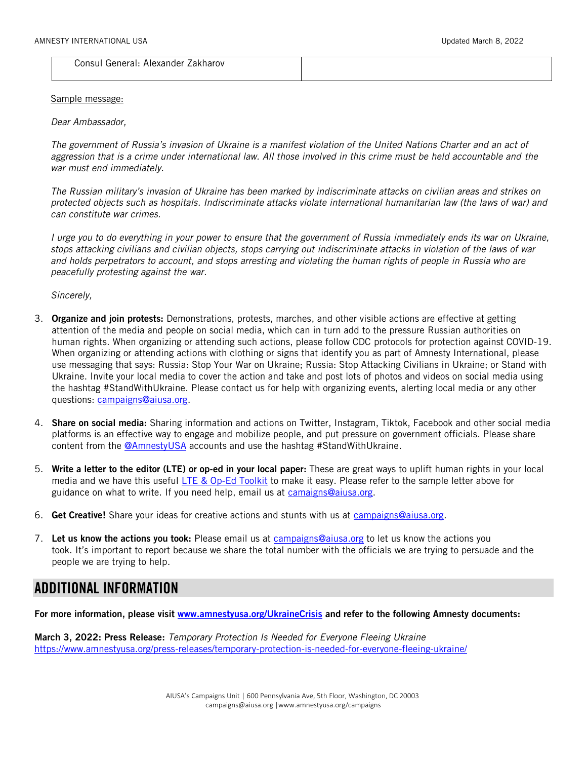Consul General: Alexander Zakharov

#### Sample message:

*Dear Ambassador,*

*The government of Russia's invasion of Ukraine is a manifest violation of the United Nations Charter and an act of aggression that is a crime under international law. All those involved in this crime must be held accountable and the war must end immediately.* 

*The Russian military's invasion of Ukraine has been marked by indiscriminate attacks on civilian areas and strikes on protected objects such as hospitals. Indiscriminate attacks violate international humanitarian law (the laws of war) and can constitute war crimes.*

*I urge you to do everything in your power to ensure that the government of Russia immediately ends its war on Ukraine, stops attacking civilians and civilian objects, stops carrying out indiscriminate attacks in violation of the laws of war and holds perpetrators to account, and stops arresting and violating the human rights of people in Russia who are peacefully protesting against the war.* 

*Sincerely,*

- 3. Organize and join protests: Demonstrations, protests, marches, and other visible actions are effective at getting attention of the media and people on social media, which can in turn add to the pressure Russian authorities on human rights. When organizing or attending such actions, please follow CDC protocols for protection against COVID-19. When organizing or attending actions with clothing or signs that identify you as part of Amnesty International, please use messaging that says: Russia: Stop Your War on Ukraine; Russia: Stop Attacking Civilians in Ukraine; or Stand with Ukraine. Invite your local media to cover the action and take and post lots of photos and videos on social media using the hashtag #StandWithUkraine. Please contact us for help with organizing events, alerting local media or any other questions: [campaigns@aiusa.org.](mailto:campaigns@aiusa.org)
- 4. Share on social media: Sharing information and actions on Twitter, Instagram, Tiktok, Facebook and other social media platforms is an effective way to engage and mobilize people, and put pressure on government officials. Please share content from the [@AmnestyUSA](https://twitter.com/amnestyusa) accounts and use the hashtag #StandWithUkraine.
- 5. Write a letter to the editor (LTE) or op-ed in your local paper: These are great ways to uplift human rights in your local media and we have this useful [LTE & Op-Ed Toolkit](https://www.amnestyusa.org/wp-content/uploads/2019/08/Guide-for-Writing-Op-Eds-and-LTEs-.pdf) to make it easy. Please refer to the sample letter above for guidance on what to write. If you need help, email us at [camaigns@aiusa.org.](mailto:camaigns@aiusa.org)
- 6. Get Creative! Share your ideas for creative actions and stunts with us at [campaigns@aiusa.org.](mailto:campaigns@aiusa.org)
- 7. Let us know the actions you took: Please email us at [campaigns@aiusa.org](mailto:campaigns@aiusa.org) to let us know the actions you took. It's important to report because we share the total number with the officials we are trying to persuade and the people we are trying to help.

#### ADDITIONAL INFORMATION

For more information, please visit [www.amnestyusa.org/UkraineCrisis](http://www.amnestyusa.org/UkraineCrisis) and refer to the following Amnesty documents:

March 3, 2022: Press Release: *Temporary Protection Is Needed for Everyone Fleeing Ukraine* <https://www.amnestyusa.org/press-releases/temporary-protection-is-needed-for-everyone-fleeing-ukraine/>